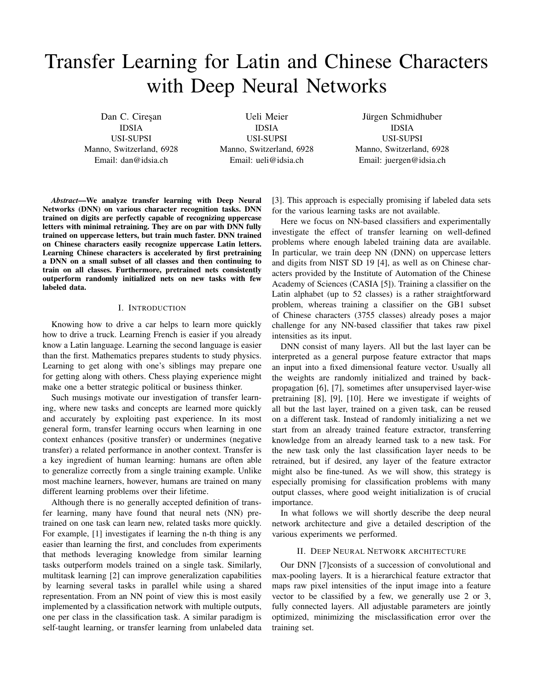# Transfer Learning for Latin and Chinese Characters with Deep Neural Networks

Dan C. Ciresan IDSIA USI-SUPSI Manno, Switzerland, 6928 Email: dan@idsia.ch

Ueli Meier IDSIA USI-SUPSI Manno, Switzerland, 6928 Email: ueli@idsia.ch

Jürgen Schmidhuber IDSIA USI-SUPSI Manno, Switzerland, 6928 Email: juergen@idsia.ch

*Abstract*—We analyze transfer learning with Deep Neural Networks (DNN) on various character recognition tasks. DNN trained on digits are perfectly capable of recognizing uppercase letters with minimal retraining. They are on par with DNN fully trained on uppercase letters, but train much faster. DNN trained on Chinese characters easily recognize uppercase Latin letters. Learning Chinese characters is accelerated by first pretraining a DNN on a small subset of all classes and then continuing to train on all classes. Furthermore, pretrained nets consistently outperform randomly initialized nets on new tasks with few labeled data.

## I. INTRODUCTION

Knowing how to drive a car helps to learn more quickly how to drive a truck. Learning French is easier if you already know a Latin language. Learning the second language is easier than the first. Mathematics prepares students to study physics. Learning to get along with one's siblings may prepare one for getting along with others. Chess playing experience might make one a better strategic political or business thinker.

Such musings motivate our investigation of transfer learning, where new tasks and concepts are learned more quickly and accurately by exploiting past experience. In its most general form, transfer learning occurs when learning in one context enhances (positive transfer) or undermines (negative transfer) a related performance in another context. Transfer is a key ingredient of human learning: humans are often able to generalize correctly from a single training example. Unlike most machine learners, however, humans are trained on many different learning problems over their lifetime.

Although there is no generally accepted definition of transfer learning, many have found that neural nets (NN) pretrained on one task can learn new, related tasks more quickly. For example, [1] investigates if learning the n-th thing is any easier than learning the first, and concludes from experiments that methods leveraging knowledge from similar learning tasks outperform models trained on a single task. Similarly, multitask learning [2] can improve generalization capabilities by learning several tasks in parallel while using a shared representation. From an NN point of view this is most easily implemented by a classification network with multiple outputs, one per class in the classification task. A similar paradigm is self-taught learning, or transfer learning from unlabeled data

[3]. This approach is especially promising if labeled data sets for the various learning tasks are not available.

Here we focus on NN-based classifiers and experimentally investigate the effect of transfer learning on well-defined problems where enough labeled training data are available. In particular, we train deep NN (DNN) on uppercase letters and digits from NIST SD 19 [4], as well as on Chinese characters provided by the Institute of Automation of the Chinese Academy of Sciences (CASIA [5]). Training a classifier on the Latin alphabet (up to 52 classes) is a rather straightforward problem, whereas training a classifier on the GB1 subset of Chinese characters (3755 classes) already poses a major challenge for any NN-based classifier that takes raw pixel intensities as its input.

DNN consist of many layers. All but the last layer can be interpreted as a general purpose feature extractor that maps an input into a fixed dimensional feature vector. Usually all the weights are randomly initialized and trained by backpropagation [6], [7], sometimes after unsupervised layer-wise pretraining [8], [9], [10]. Here we investigate if weights of all but the last layer, trained on a given task, can be reused on a different task. Instead of randomly initializing a net we start from an already trained feature extractor, transferring knowledge from an already learned task to a new task. For the new task only the last classification layer needs to be retrained, but if desired, any layer of the feature extractor might also be fine-tuned. As we will show, this strategy is especially promising for classification problems with many output classes, where good weight initialization is of crucial importance.

In what follows we will shortly describe the deep neural network architecture and give a detailed description of the various experiments we performed.

#### II. DEEP NEURAL NETWORK ARCHITECTURE

Our DNN [7]consists of a succession of convolutional and max-pooling layers. It is a hierarchical feature extractor that maps raw pixel intensities of the input image into a feature vector to be classified by a few, we generally use 2 or 3, fully connected layers. All adjustable parameters are jointly optimized, minimizing the misclassification error over the training set.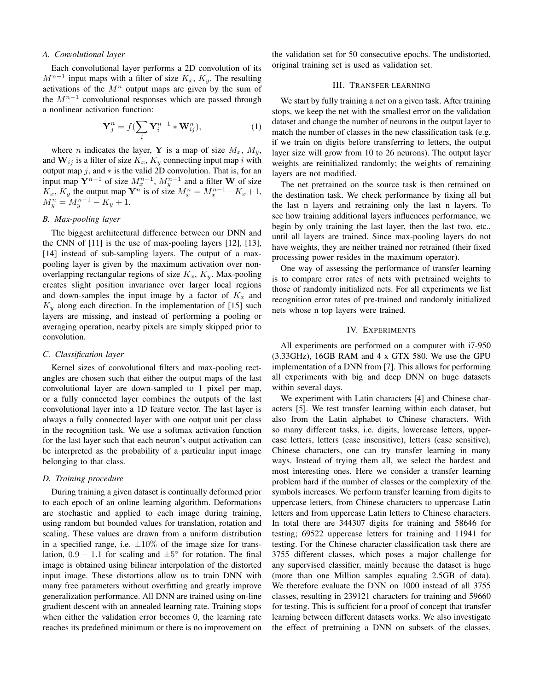#### *A. Convolutional layer*

Each convolutional layer performs a 2D convolution of its  $M^{n-1}$  input maps with a filter of size  $K_x$ ,  $K_y$ . The resulting activations of the  $M^n$  output maps are given by the sum of the  $M^{n-1}$  convolutional responses which are passed through a nonlinear activation function:

$$
\mathbf{Y}_{j}^{n} = f(\sum_{i} \mathbf{Y}_{i}^{n-1} * \mathbf{W}_{ij}^{n}), \qquad (1)
$$

where *n* indicates the layer, **Y** is a map of size  $M_x$ ,  $M_y$ , and  $W_{ij}$  is a filter of size  $K_x$ ,  $K_y$  connecting input map i with output map  $j$ , and  $*$  is the valid 2D convolution. That is, for an input map  $Y^{n-1}$  of size  $M_x^{n-1}$ ,  $M_y^{n-1}$  and a filter W of size  $K_x$ ,  $K_y$  the output map  $\mathbf{Y}^n$  is of size  $M_x^n = M_x^{n-1} - K_x + 1$ ,  $M_y^n = M_y^{n-1} - K_y + 1.$ 

# *B. Max-pooling layer*

The biggest architectural difference between our DNN and the CNN of [11] is the use of max-pooling layers [12], [13], [14] instead of sub-sampling layers. The output of a maxpooling layer is given by the maximum activation over nonoverlapping rectangular regions of size  $K_x$ ,  $K_y$ . Max-pooling creates slight position invariance over larger local regions and down-samples the input image by a factor of  $K_x$  and  $K<sub>y</sub>$  along each direction. In the implementation of [15] such layers are missing, and instead of performing a pooling or averaging operation, nearby pixels are simply skipped prior to convolution.

## *C. Classification layer*

Kernel sizes of convolutional filters and max-pooling rectangles are chosen such that either the output maps of the last convolutional layer are down-sampled to 1 pixel per map, or a fully connected layer combines the outputs of the last convolutional layer into a 1D feature vector. The last layer is always a fully connected layer with one output unit per class in the recognition task. We use a softmax activation function for the last layer such that each neuron's output activation can be interpreted as the probability of a particular input image belonging to that class.

## *D. Training procedure*

During training a given dataset is continually deformed prior to each epoch of an online learning algorithm. Deformations are stochastic and applied to each image during training, using random but bounded values for translation, rotation and scaling. These values are drawn from a uniform distribution in a specified range, i.e.  $\pm 10\%$  of the image size for translation,  $0.9 - 1.1$  for scaling and  $\pm 5^{\circ}$  for rotation. The final image is obtained using bilinear interpolation of the distorted input image. These distortions allow us to train DNN with many free parameters without overfitting and greatly improve generalization performance. All DNN are trained using on-line gradient descent with an annealed learning rate. Training stops when either the validation error becomes 0, the learning rate reaches its predefined minimum or there is no improvement on

the validation set for 50 consecutive epochs. The undistorted, original training set is used as validation set.

## III. TRANSFER LEARNING

We start by fully training a net on a given task. After training stops, we keep the net with the smallest error on the validation dataset and change the number of neurons in the output layer to match the number of classes in the new classification task (e.g. if we train on digits before transferring to letters, the output layer size will grow from 10 to 26 neurons). The output layer weights are reinitialized randomly; the weights of remaining layers are not modified.

The net pretrained on the source task is then retrained on the destination task. We check performance by fixing all but the last n layers and retraining only the last n layers. To see how training additional layers influences performance, we begin by only training the last layer, then the last two, etc., until all layers are trained. Since max-pooling layers do not have weights, they are neither trained nor retrained (their fixed processing power resides in the maximum operator).

One way of assessing the performance of transfer learning is to compare error rates of nets with pretrained weights to those of randomly initialized nets. For all experiments we list recognition error rates of pre-trained and randomly initialized nets whose n top layers were trained.

# IV. EXPERIMENTS

All experiments are performed on a computer with i7-950 (3.33GHz), 16GB RAM and 4 x GTX 580. We use the GPU implementation of a DNN from [7]. This allows for performing all experiments with big and deep DNN on huge datasets within several days.

We experiment with Latin characters [4] and Chinese characters [5]. We test transfer learning within each dataset, but also from the Latin alphabet to Chinese characters. With so many different tasks, i.e. digits, lowercase letters, uppercase letters, letters (case insensitive), letters (case sensitive), Chinese characters, one can try transfer learning in many ways. Instead of trying them all, we select the hardest and most interesting ones. Here we consider a transfer learning problem hard if the number of classes or the complexity of the symbols increases. We perform transfer learning from digits to uppercase letters, from Chinese characters to uppercase Latin letters and from uppercase Latin letters to Chinese characters. In total there are 344307 digits for training and 58646 for testing; 69522 uppercase letters for training and 11941 for testing. For the Chinese character classification task there are 3755 different classes, which poses a major challenge for any supervised classifier, mainly because the dataset is huge (more than one Million samples equaling 2.5GB of data). We therefore evaluate the DNN on 1000 instead of all 3755 classes, resulting in 239121 characters for training and 59660 for testing. This is sufficient for a proof of concept that transfer learning between different datasets works. We also investigate the effect of pretraining a DNN on subsets of the classes,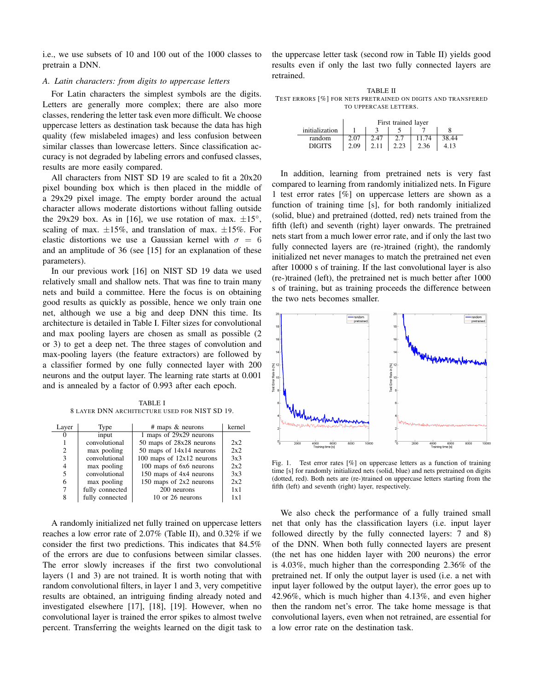i.e., we use subsets of 10 and 100 out of the 1000 classes to pretrain a DNN.

# *A. Latin characters: from digits to uppercase letters*

For Latin characters the simplest symbols are the digits. Letters are generally more complex; there are also more classes, rendering the letter task even more difficult. We choose uppercase letters as destination task because the data has high quality (few mislabeled images) and less confusion between similar classes than lowercase letters. Since classification accuracy is not degraded by labeling errors and confused classes, results are more easily compared.

All characters from NIST SD 19 are scaled to fit a 20x20 pixel bounding box which is then placed in the middle of a 29x29 pixel image. The empty border around the actual character allows moderate distortions without falling outside the 29x29 box. As in [16], we use rotation of max.  $\pm 15^{\circ}$ , scaling of max.  $\pm 15\%$ , and translation of max.  $\pm 15\%$ . For elastic distortions we use a Gaussian kernel with  $\sigma = 6$ and an amplitude of 36 (see [15] for an explanation of these parameters).

In our previous work [16] on NIST SD 19 data we used relatively small and shallow nets. That was fine to train many nets and build a committee. Here the focus is on obtaining good results as quickly as possible, hence we only train one net, although we use a big and deep DNN this time. Its architecture is detailed in Table I. Filter sizes for convolutional and max pooling layers are chosen as small as possible (2 or 3) to get a deep net. The three stages of convolution and max-pooling layers (the feature extractors) are followed by a classifier formed by one fully connected layer with 200 neurons and the output layer. The learning rate starts at 0.001 and is annealed by a factor of 0.993 after each epoch.

TABLE I 8 LAYER DNN ARCHITECTURE USED FOR NIST SD 19.

| Layer          | Type            | $#$ maps $\&$ neurons       | kernel |
|----------------|-----------------|-----------------------------|--------|
| $\theta$       | input           | 1 maps of 29x29 neurons     |        |
|                | convolutional   | 50 maps of 28x28 neurons    | 2x2    |
| $\overline{c}$ | max pooling     | 50 maps of 14x14 neurons    | 2x2    |
| 3              | convolutional   | 100 maps of $12x12$ neurons | 3x3    |
| 4              | max pooling     | 100 maps of 6x6 neurons     | 2x2    |
| 5              | convolutional   | 150 maps of 4x4 neurons     | 3x3    |
| 6              | max pooling     | 150 maps of 2x2 neurons     | 2x2    |
| 7              | fully connected | 200 neurons                 | 1x1    |
| 8              | fully connected | 10 or 26 neurons            | 1x1    |

A randomly initialized net fully trained on uppercase letters reaches a low error rate of 2.07% (Table II), and 0.32% if we consider the first two predictions. This indicates that 84.5% of the errors are due to confusions between similar classes. The error slowly increases if the first two convolutional layers (1 and 3) are not trained. It is worth noting that with random convolutional filters, in layer 1 and 3, very competitive results are obtained, an intriguing finding already noted and investigated elsewhere [17], [18], [19]. However, when no convolutional layer is trained the error spikes to almost twelve percent. Transferring the weights learned on the digit task to the uppercase letter task (second row in Table II) yields good results even if only the last two fully connected layers are retrained.

TABLE II TEST ERRORS [%] FOR NETS PRETRAINED ON DIGITS AND TRANSFERED TO UPPERCASE LETTERS.

|                | First trained layer |      |      |       |       |  |  |
|----------------|---------------------|------|------|-------|-------|--|--|
| initialization |                     |      |      |       |       |  |  |
| random         | 2.07                | 2.47 | 2.7  | 11.74 | 38.44 |  |  |
| <b>DIGITS</b>  | 2.09                | 2.11 | 2.23 | 2.36  | 4.13  |  |  |

In addition, learning from pretrained nets is very fast compared to learning from randomly initialized nets. In Figure 1 test error rates [%] on uppercase letters are shown as a function of training time [s], for both randomly initialized (solid, blue) and pretrained (dotted, red) nets trained from the fifth (left) and seventh (right) layer onwards. The pretrained nets start from a much lower error rate, and if only the last two fully connected layers are (re-)trained (right), the randomly initialized net never manages to match the pretrained net even after 10000 s of training. If the last convolutional layer is also (re-)trained (left), the pretrained net is much better after 1000 s of training, but as training proceeds the difference between the two nets becomes smaller.



Fig. 1. Test error rates [%] on uppercase letters as a function of training time [s] for randomly initialized nets (solid, blue) and nets pretrained on digits (dotted, red). Both nets are (re-)trained on uppercase letters starting from the fifth (left) and seventh (right) layer, respectively.

We also check the performance of a fully trained small net that only has the classification layers (i.e. input layer followed directly by the fully connected layers: 7 and 8) of the DNN. When both fully connected layers are present (the net has one hidden layer with 200 neurons) the error is 4.03%, much higher than the corresponding 2.36% of the pretrained net. If only the output layer is used (i.e. a net with input layer followed by the output layer), the error goes up to 42.96%, which is much higher than 4.13%, and even higher then the random net's error. The take home message is that convolutional layers, even when not retrained, are essential for a low error rate on the destination task.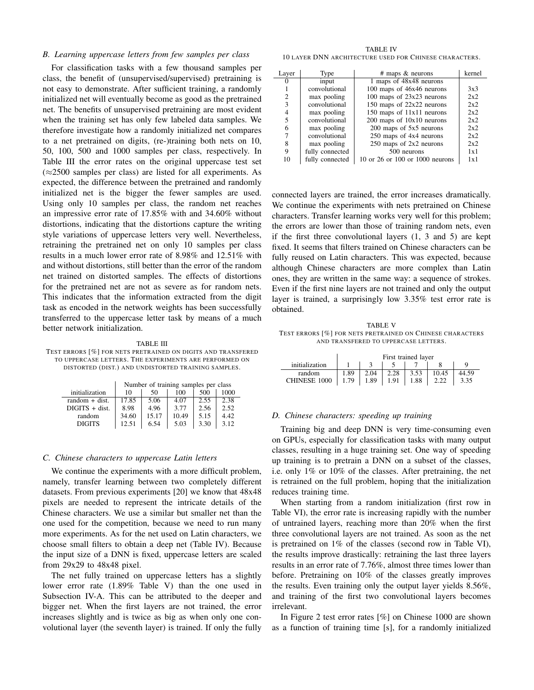#### *B. Learning uppercase letters from few samples per class*

For classification tasks with a few thousand samples per class, the benefit of (unsupervised/supervised) pretraining is not easy to demonstrate. After sufficient training, a randomly initialized net will eventually become as good as the pretrained net. The benefits of unsupervised pretraining are most evident when the training set has only few labeled data samples. We therefore investigate how a randomly initialized net compares to a net pretrained on digits, (re-)training both nets on 10, 50, 100, 500 and 1000 samples per class, respectively. In Table III the error rates on the original uppercase test set  $(\approx 2500$  samples per class) are listed for all experiments. As expected, the difference between the pretrained and randomly initialized net is the bigger the fewer samples are used. Using only 10 samples per class, the random net reaches an impressive error rate of 17.85% with and 34.60% without distortions, indicating that the distortions capture the writing style variations of uppercase letters very well. Nevertheless, retraining the pretrained net on only 10 samples per class results in a much lower error rate of 8.98% and 12.51% with and without distortions, still better than the error of the random net trained on distorted samples. The effects of distortions for the pretrained net are not as severe as for random nets. This indicates that the information extracted from the digit task as encoded in the network weights has been successfully transferred to the uppercase letter task by means of a much better network initialization.

TABLE III TEST ERRORS [%] FOR NETS PRETRAINED ON DIGITS AND TRANSFERED TO UPPERCASE LETTERS. THE EXPERIMENTS ARE PERFORMED ON DISTORTED (DIST.) AND UNDISTORTED TRAINING SAMPLES.

|                  | Number of training samples per class |       |       |      |      |  |  |  |
|------------------|--------------------------------------|-------|-------|------|------|--|--|--|
| initialization   | 10                                   | 50    | 100   | 500  | 1000 |  |  |  |
| $random + dist.$ | 17.85                                | 5.06  | 4.07  | 2.55 | 2.38 |  |  |  |
| $DIGITS + dist.$ | 8.98                                 | 4.96  | 3.77  | 2.56 | 2.52 |  |  |  |
| random           | 34.60                                | 15.17 | 10.49 | 5.15 | 4.42 |  |  |  |
| <b>DIGITS</b>    | 12.51                                | 6.54  | 5.03  | 3.30 | 3.12 |  |  |  |

#### *C. Chinese characters to uppercase Latin letters*

We continue the experiments with a more difficult problem, namely, transfer learning between two completely different datasets. From previous experiments [20] we know that 48x48 pixels are needed to represent the intricate details of the Chinese characters. We use a similar but smaller net than the one used for the competition, because we need to run many more experiments. As for the net used on Latin characters, we choose small filters to obtain a deep net (Table IV). Because the input size of a DNN is fixed, uppercase letters are scaled from 29x29 to 48x48 pixel.

The net fully trained on uppercase letters has a slightly lower error rate (1.89% Table V) than the one used in Subsection IV-A. This can be attributed to the deeper and bigger net. When the first layers are not trained, the error increases slightly and is twice as big as when only one convolutional layer (the seventh layer) is trained. If only the fully

TABLE IV 10 LAYER DNN ARCHITECTURE USED FOR CHINESE CHARACTERS.

| Layer | Type            | $#$ maps $\&$ neurons           | kernel |
|-------|-----------------|---------------------------------|--------|
|       | input           | 1 maps of 48x48 neurons         |        |
|       | convolutional   | 100 maps of 46x46 neurons       | 3x3    |
| 2     | max pooling     | 100 maps of $23x23$ neurons     | 2x2    |
| 3     | convolutional   | 150 maps of $22x22$ neurons     | 2x2    |
| 4     | max pooling     | 150 maps of 11x11 neurons       | 2x2    |
| 5     | convolutional   | $200$ maps of $10x10$ neurons   | 2x2    |
| 6     | max pooling     | 200 maps of 5x5 neurons         | 2x2    |
|       | convolutional   | 250 maps of 4x4 neurons         | 2x2    |
| 8     | max pooling     | $250$ maps of $2x2$ neurons     | 2x2    |
| 9     | fully connected | 500 neurons                     | 1x1    |
| 10    | fully connected | 10 or 26 or 100 or 1000 neurons | 1x1    |

connected layers are trained, the error increases dramatically. We continue the experiments with nets pretrained on Chinese characters. Transfer learning works very well for this problem; the errors are lower than those of training random nets, even if the first three convolutional layers (1, 3 and 5) are kept fixed. It seems that filters trained on Chinese characters can be fully reused on Latin characters. This was expected, because although Chinese characters are more complex than Latin ones, they are written in the same way: a sequence of strokes. Even if the first nine layers are not trained and only the output layer is trained, a surprisingly low 3.35% test error rate is obtained.

TABLE V TEST ERRORS [%] FOR NETS PRETRAINED ON CHINESE CHARACTERS AND TRANSFERED TO UPPERCASE LETTERS.

|                     | First trained layer |      |      |      |       |       |
|---------------------|---------------------|------|------|------|-------|-------|
| initialization      |                     |      |      |      |       |       |
| random              | 1.89                | 2.04 | 2.28 | 3.53 | 10.45 | 44.59 |
| <b>CHINESE 1000</b> | 1.79                | 1.89 | 1.91 | 1.88 |       | 3.35  |

#### *D. Chinese characters: speeding up training*

Training big and deep DNN is very time-consuming even on GPUs, especially for classification tasks with many output classes, resulting in a huge training set. One way of speeding up training is to pretrain a DNN on a subset of the classes, i.e. only 1% or 10% of the classes. After pretraining, the net is retrained on the full problem, hoping that the initialization reduces training time.

When starting from a random initialization (first row in Table VI), the error rate is increasing rapidly with the number of untrained layers, reaching more than 20% when the first three convolutional layers are not trained. As soon as the net is pretrained on 1% of the classes (second row in Table VI), the results improve drastically: retraining the last three layers results in an error rate of 7.76%, almost three times lower than before. Pretraining on 10% of the classes greatly improves the results. Even training only the output layer yields 8.56%, and training of the first two convolutional layers becomes irrelevant.

In Figure 2 test error rates [%] on Chinese 1000 are shown as a function of training time [s], for a randomly initialized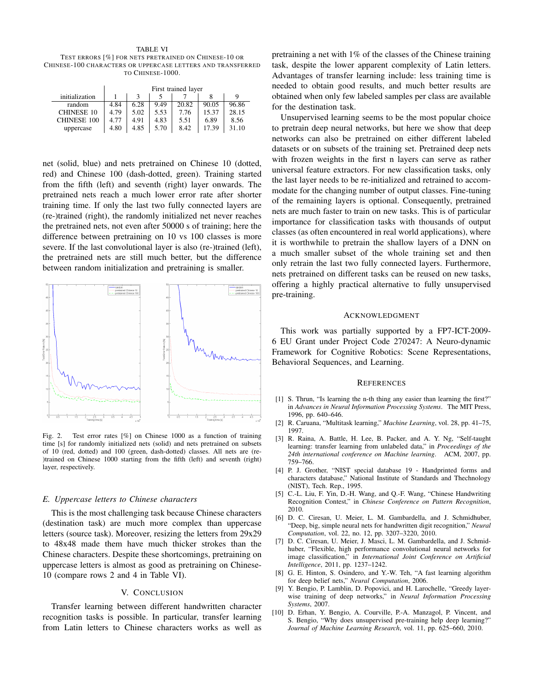TABLE VI TEST ERRORS [%] FOR NETS PRETRAINED ON CHINESE-10 OR CHINESE-100 CHARACTERS OR UPPERCASE LETTERS AND TRANSFERRED TO CHINESE-1000.

|                    | First trained layer |      |      |       |       |       |
|--------------------|---------------------|------|------|-------|-------|-------|
| initialization     |                     |      |      |       |       |       |
| random             | 4.84                | 6.28 | 9.49 | 20.82 | 90.05 | 96.86 |
| <b>CHINESE 10</b>  | 4.79                | 5.02 | 5.53 | 7.76  | 15.37 | 28.15 |
| <b>CHINESE 100</b> | 4.77                | 4.91 | 4.83 | 5.51  | 6.89  | 8.56  |
| uppercase          | 4.80                | 4.85 | 5.70 | 8.42  | 17.39 | 31.10 |

net (solid, blue) and nets pretrained on Chinese 10 (dotted, red) and Chinese 100 (dash-dotted, green). Training started from the fifth (left) and seventh (right) layer onwards. The pretrained nets reach a much lower error rate after shorter training time. If only the last two fully connected layers are (re-)trained (right), the randomly initialized net never reaches the pretrained nets, not even after 50000 s of training; here the difference between pretraining on 10 vs 100 classes is more severe. If the last convolutional layer is also (re-)trained (left), the pretrained nets are still much better, but the difference between random initialization and pretraining is smaller.



Fig. 2. Test error rates [%] on Chinese 1000 as a function of training time [s] for randomly initialized nets (solid) and nets pretrained on subsets of 10 (red, dotted) and 100 (green, dash-dotted) classes. All nets are (re- )trained on Chinese 1000 starting from the fifth (left) and seventh (right) layer, respectively.

## *E. Uppercase letters to Chinese characters*

This is the most challenging task because Chinese characters (destination task) are much more complex than uppercase letters (source task). Moreover, resizing the letters from 29x29 to 48x48 made them have much thicker strokes than the Chinese characters. Despite these shortcomings, pretraining on uppercase letters is almost as good as pretraining on Chinese-10 (compare rows 2 and 4 in Table VI).

#### V. CONCLUSION

Transfer learning between different handwritten character recognition tasks is possible. In particular, transfer learning from Latin letters to Chinese characters works as well as

pretraining a net with 1% of the classes of the Chinese training task, despite the lower apparent complexity of Latin letters. Advantages of transfer learning include: less training time is needed to obtain good results, and much better results are obtained when only few labeled samples per class are available for the destination task.

Unsupervised learning seems to be the most popular choice to pretrain deep neural networks, but here we show that deep networks can also be pretrained on either different labeled datasets or on subsets of the training set. Pretrained deep nets with frozen weights in the first n layers can serve as rather universal feature extractors. For new classification tasks, only the last layer needs to be re-initialized and retrained to accommodate for the changing number of output classes. Fine-tuning of the remaining layers is optional. Consequently, pretrained nets are much faster to train on new tasks. This is of particular importance for classification tasks with thousands of output classes (as often encountered in real world applications), where it is worthwhile to pretrain the shallow layers of a DNN on a much smaller subset of the whole training set and then only retrain the last two fully connected layers. Furthermore, nets pretrained on different tasks can be reused on new tasks, offering a highly practical alternative to fully unsupervised pre-training.

#### ACKNOWLEDGMENT

This work was partially supported by a FP7-ICT-2009- 6 EU Grant under Project Code 270247: A Neuro-dynamic Framework for Cognitive Robotics: Scene Representations, Behavioral Sequences, and Learning.

#### **REFERENCES**

- [1] S. Thrun, "Is learning the n-th thing any easier than learning the first?" in *Advances in Neural Information Processing Systems*. The MIT Press, 1996, pp. 640–646.
- [2] R. Caruana, "Multitask learning," *Machine Learning*, vol. 28, pp. 41–75, 1997.
- [3] R. Raina, A. Battle, H. Lee, B. Packer, and A. Y. Ng, "Self-taught learning: transfer learning from unlabeled data," in *Proceedings of the 24th international conference on Machine learning*. ACM, 2007, pp. 759–766.
- [4] P. J. Grother, "NIST special database 19 Handprinted forms and characters database," National Institute of Standards and Thechnology (NIST), Tech. Rep., 1995.
- [5] C.-L. Liu, F. Yin, D.-H. Wang, and Q.-F. Wang, "Chinese Handwriting Recognition Contest," in *Chinese Conference on Pattern Recognition*, 2010.
- [6] D. C. Ciresan, U. Meier, L. M. Gambardella, and J. Schmidhuber, "Deep, big, simple neural nets for handwritten digit recognition," *Neural Computation*, vol. 22, no. 12, pp. 3207–3220, 2010.
- [7] D. C. Ciresan, U. Meier, J. Masci, L. M. Gambardella, and J. Schmidhuber, "Flexible, high performance convolutional neural networks for image classification," in *International Joint Conference on Artificial Intelligence*, 2011, pp. 1237–1242.
- [8] G. E. Hinton, S. Osindero, and Y.-W. Teh, "A fast learning algorithm for deep belief nets," *Neural Computation*, 2006.
- [9] Y. Bengio, P. Lamblin, D. Popovici, and H. Larochelle, "Greedy layerwise training of deep networks," in *Neural Information Processing Systems*, 2007.
- [10] D. Erhan, Y. Bengio, A. Courville, P.-A. Manzagol, P. Vincent, and S. Bengio, "Why does unsupervised pre-training help deep learning?" *Journal of Machine Learning Research*, vol. 11, pp. 625–660, 2010.